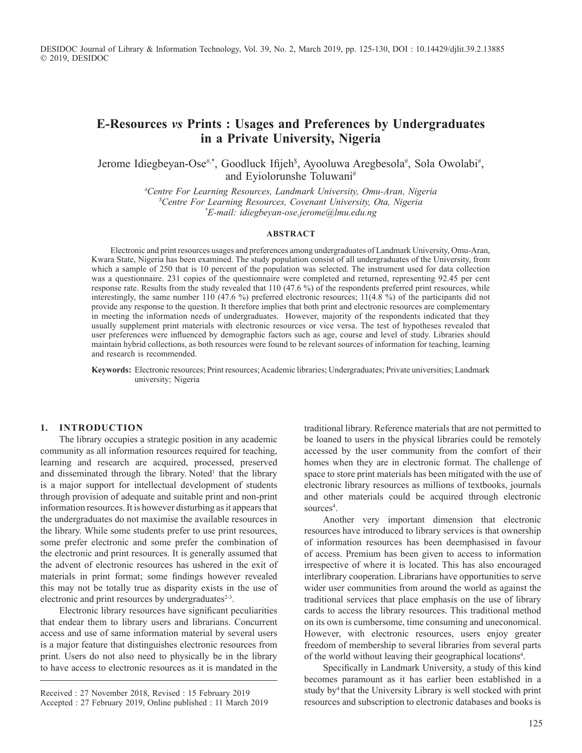DESIDOC Journal of Library & Information Technology, Vol. 39, No. 2, March 2019, pp. 125-130, DOI : 10.14429/djlit.39.2.13885 2019, DESIDOC

# **E-Resources** *vs* **Prints : Usages and Preferences by Undergraduates in a Private University, Nigeria**

Jerome Idiegbeyan-Ose<sup>#,\*</sup>, Goodluck Ifijeh<sup>\$</sup>, Ayooluwa Aregbesola<sup>#</sup>, Sola Owolabi<sup>#</sup>, and Eyiolorunshe Toluwani#

> *# Centre For Learning Resources, Landmark University, Omu-Aran, Nigeria \$ Centre For Learning Resources, Covenant University, Ota, Nigeria \* E-mail: idiegbeyan-ose.jerome@lmu.edu.ng*

#### **Abstract**

Electronic and print resources usages and preferences among undergraduates of Landmark University, Omu-Aran, Kwara State, Nigeria has been examined. The study population consist of all undergraduates of the University, from which a sample of 250 that is 10 percent of the population was selected. The instrument used for data collection was a questionnaire. 231 copies of the questionnaire were completed and returned, representing 92.45 per cent response rate. Results from the study revealed that 110 (47.6 %) of the respondents preferred print resources, while interestingly, the same number 110 (47.6 %) preferred electronic resources; 11(4.8 %) of the participants did not provide any response to the question. It therefore implies that both print and electronic resources are complementary in meeting the information needs of undergraduates. However, majority of the respondents indicated that they usually supplement print materials with electronic resources or vice versa. The test of hypotheses revealed that user preferences were influenced by demographic factors such as age, course and level of study. Libraries should maintain hybrid collections, as both resources were found to be relevant sources of information for teaching, learning and research is recommended.

**Keywords:** Electronic resources; Print resources; Academic libraries; Undergraduates; Private universities; Landmark university; Nigeria

#### **1. Introduction**

The library occupies a strategic position in any academic community as all information resources required for teaching, learning and research are acquired, processed, preserved and disseminated through the library. Noted<sup>1</sup> that the library is a major support for intellectual development of students through provision of adequate and suitable print and non-print information resources. It is however disturbing as it appears that the undergraduates do not maximise the available resources in the library. While some students prefer to use print resources, some prefer electronic and some prefer the combination of the electronic and print resources. It is generally assumed that the advent of electronic resources has ushered in the exit of materials in print format; some findings however revealed this may not be totally true as disparity exists in the use of electronic and print resources by undergraduates $2-3$ .

Electronic library resources have significant peculiarities that endear them to library users and librarians. Concurrent access and use of same information material by several users is a major feature that distinguishes electronic resources from print. Users do not also need to physically be in the library to have access to electronic resources as it is mandated in the

Received : 27 November 2018, Revised : 15 February 2019 Accepted : 27 February 2019, Online published : 11 March 2019

traditional library. Reference materials that are not permitted to be loaned to users in the physical libraries could be remotely accessed by the user community from the comfort of their homes when they are in electronic format. The challenge of space to store print materials has been mitigated with the use of electronic library resources as millions of textbooks, journals and other materials could be acquired through electronic sources<sup>4</sup>.

Another very important dimension that electronic resources have introduced to library services is that ownership of information resources has been deemphasised in favour of access. Premium has been given to access to information irrespective of where it is located. This has also encouraged interlibrary cooperation. Librarians have opportunities to serve wider user communities from around the world as against the traditional services that place emphasis on the use of library cards to access the library resources. This traditional method on its own is cumbersome, time consuming and uneconomical. However, with electronic resources, users enjoy greater freedom of membership to several libraries from several parts of the world without leaving their geographical locations<sup>4</sup>.

Specifically in Landmark University, a study of this kind becomes paramount as it has earlier been established in a study by<sup>4</sup> that the University Library is well stocked with print resources and subscription to electronic databases and books is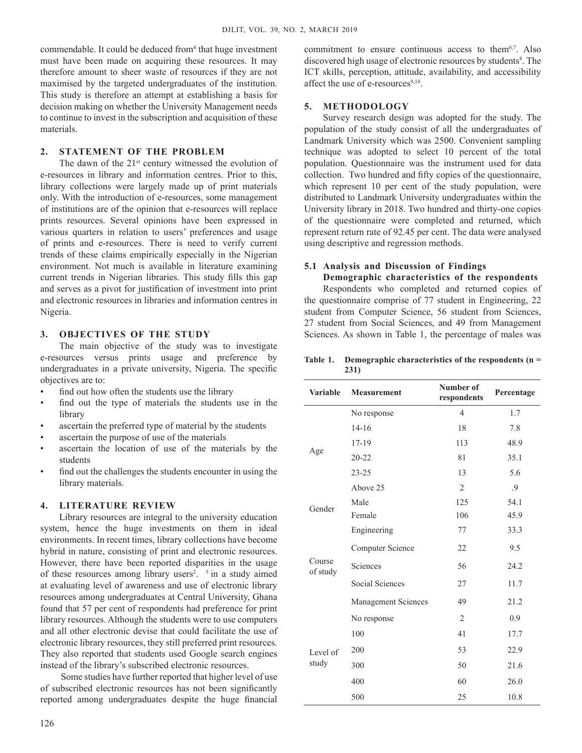commendable. It could be deduced from<sup>4</sup> that huge investment must have been made on acquiring these resources. It may therefore amount to sheer waste of resources if they are not maximised by the targeted undergraduates of the institution. This study is therefore an attempt at establishing a basis for decision making on whether the University Management needs to continue to invest in the subscription and acquisition of these materials.

## **2. Statement of the Problem**

The dawn of the  $21<sup>st</sup>$  century witnessed the evolution of e-resources in library and information centres. Prior to this, library collections were largely made up of print materials only. With the introduction of e-resources, some management of institutions are of the opinion that e-resources will replace prints resources. Several opinions have been expressed in various quarters in relation to users' preferences and usage of prints and e-resources. There is need to verify current trends of these claims empirically especially in the Nigerian environment. Not much is available in literature examining current trends in Nigerian libraries. This study fills this gap and serves as a pivot for justification of investment into print and electronic resources in libraries and information centres in Nigeria.

## **3. ObjectiveS of the Study**

The main objective of the study was to investigate e-resources versus prints usage and preference by undergraduates in a private university, Nigeria. The specific objectives are to:

- find out how often the students use the library
- find out the type of materials the students use in the library
- ascertain the preferred type of material by the students
- ascertain the purpose of use of the materials
- ascertain the location of use of the materials by the students
- find out the challenges the students encounter in using the library materials.

### **4. Literature Review**

Library resources are integral to the university education system, hence the huge investments on them in ideal environments. In recent times, library collections have become hybrid in nature, consisting of print and electronic resources. However, there have been reported disparities in the usage of these resources among library users<sup>2</sup>.  $\frac{5}{3}$  in a study aimed at evaluating level of awareness and use of electronic library resources among undergraduates at Central University, Ghana found that 57 per cent of respondents had preference for print library resources. Although the students were to use computers and all other electronic devise that could facilitate the use of electronic library resources, they still preferred print resources. They also reported that students used Google search engines instead of the library's subscribed electronic resources.

Some studies have further reported that higher level of use of subscribed electronic resources has not been significantly reported among undergraduates despite the huge financial

commitment to ensure continuous access to them<sup>6,7</sup>. Also discovered high usage of electronic resources by students<sup>8</sup>. The ICT skills, perception, attitude, availability, and accessibility affect the use of e-resources $9,10$ .

## **5. Methodology**

Survey research design was adopted for the study. The population of the study consist of all the undergraduates of Landmark University which was 2500. Convenient sampling technique was adopted to select 10 percent of the total population. Questionnaire was the instrument used for data collection. Two hundred and fifty copies of the questionnaire, which represent 10 per cent of the study population, were distributed to Landmark University undergraduates within the University library in 2018. Two hundred and thirty-one copies of the questionnaire were completed and returned, which represent return rate of 92.45 per cent. The data were analysed using descriptive and regression methods.

## **5.1 Analysis and Discussion of Findings**

**Demographic characteristics of the respondents** Respondents who completed and returned copies of the questionnaire comprise of 77 student in Engineering, 22 student from Computer Science, 56 student from Sciences, 27 student from Social Sciences, and 49 from Management Sciences. As shown in Table 1, the percentage of males was

#### **Table 1. Demographic characteristics of the respondents (n = 231)**

| <b>Variable</b>    | <b>Measurement</b>     | Number of<br>respondents | Percentage |
|--------------------|------------------------|--------------------------|------------|
|                    | No response            | $\overline{4}$           | 1.7        |
|                    | $14 - 16$              | 18                       | 7.8        |
|                    | 17-19                  | 113                      | 48.9       |
| Age                | $20 - 22$              | 81                       | 35.1       |
|                    | $23 - 25$              | 13                       | 5.6        |
|                    | Above 25               | $\overline{2}$           | .9         |
| Gender             | Male                   | 125                      | 54.1       |
|                    | Female                 | 106                      | 45.9       |
|                    | Engineering            | 77                       | 33.3       |
| Course<br>of study | Computer Science       | 22                       | 9.5        |
|                    | Sciences               | 56                       | 24.2       |
|                    | <b>Social Sciences</b> | 27                       | 11.7       |
|                    | Management Sciences    | 49                       | 21.2       |
|                    | No response            | $\overline{2}$           | 0.9        |
| Level of<br>study  | 100                    | 41                       | 17.7       |
|                    | 200                    | 53                       | 22.9       |
|                    | 300                    | 50                       | 21.6       |
|                    | 400                    | 60                       | 26.0       |
|                    | 500                    | 25                       | 10.8       |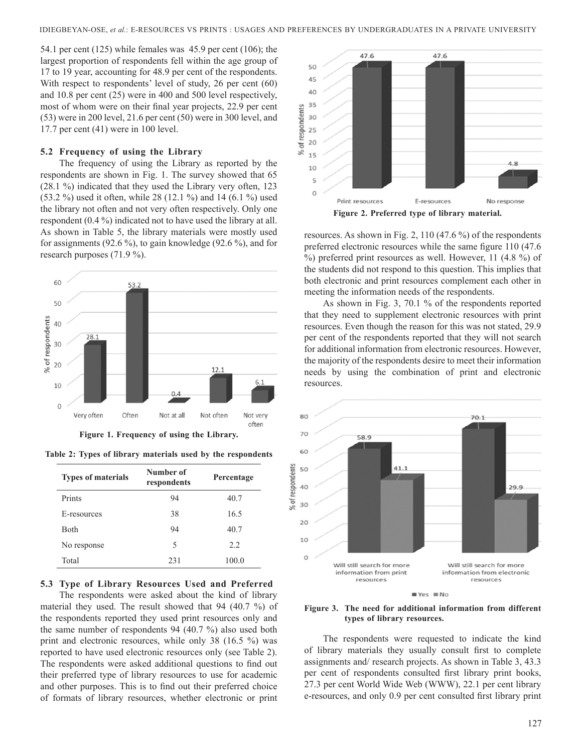54.1 per cent (125) while females was 45.9 per cent (106); the largest proportion of respondents fell within the age group of 17 to 19 year, accounting for 48.9 per cent of the respondents. With respect to respondents' level of study, 26 per cent (60) and 10.8 per cent (25) were in 400 and 500 level respectively, most of whom were on their final year projects, 22.9 per cent (53) were in 200 level, 21.6 per cent (50) were in 300 level, and 17.7 per cent (41) were in 100 level.

#### **5.2 Frequency of using the Library**

The frequency of using the Library as reported by the respondents are shown in Fig. 1. The survey showed that 65 (28.1 %) indicated that they used the Library very often, 123 (53.2 %) used it often, while 28 (12.1 %) and 14 (6.1 %) used the library not often and not very often respectively. Only one respondent (0.4 %) indicated not to have used the library at all. As shown in Table 5, the library materials were mostly used for assignments (92.6 %), to gain knowledge (92.6 %), and for research purposes (71.9 %).



**Figure 1. Frequency of using the Library.**

**Table 2: Types of library materials used by the respondents**

| <b>Types of materials</b> | Number of<br>respondents | Percentage |
|---------------------------|--------------------------|------------|
| Prints                    | 94                       | 40.7       |
| E-resources               | 38                       | 16.5       |
| <b>Both</b>               | 94                       | 40.7       |
| No response               | 5                        | 2.2        |
| Total                     | 231                      | 100.0      |

#### **5.3 Type of Library Resources Used and Preferred**

The respondents were asked about the kind of library material they used. The result showed that 94 (40.7 %) of the respondents reported they used print resources only and the same number of respondents 94 (40.7 %) also used both print and electronic resources, while only 38 (16.5 %) was reported to have used electronic resources only (see Table 2). The respondents were asked additional questions to find out their preferred type of library resources to use for academic and other purposes. This is to find out their preferred choice of formats of library resources, whether electronic or print



resources. As shown in Fig. 2, 110 (47.6 %) of the respondents preferred electronic resources while the same figure 110 (47.6 %) preferred print resources as well. However, 11 (4.8 %) of the students did not respond to this question. This implies that both electronic and print resources complement each other in meeting the information needs of the respondents.

As shown in Fig. 3, 70.1 % of the respondents reported that they need to supplement electronic resources with print resources. Even though the reason for this was not stated, 29.9 per cent of the respondents reported that they will not search for additional information from electronic resources. However, the majority of the respondents desire to meet their information needs by using the combination of print and electronic resources.



**Figure 3. The need for additional information from different types of library resources.**

The respondents were requested to indicate the kind of library materials they usually consult first to complete assignments and/ research projects. As shown in Table 3, 43.3 per cent of respondents consulted first library print books, 27.3 per cent World Wide Web (WWW), 22.1 per cent library e-resources, and only 0.9 per cent consulted first library print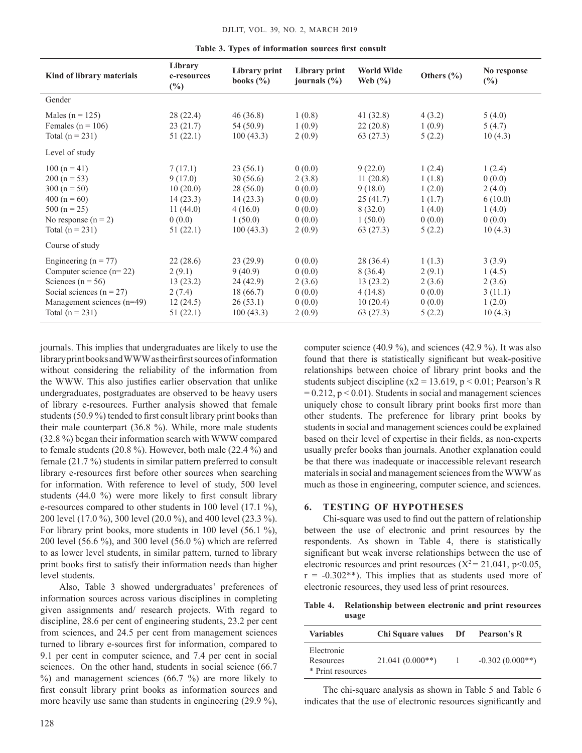|  |  |  |  | Table 3. Types of information sources first consult |  |  |  |
|--|--|--|--|-----------------------------------------------------|--|--|--|
|--|--|--|--|-----------------------------------------------------|--|--|--|

| Kind of library materials                                                                                                                                         | Library<br>e-resources<br>$(\%)$                                             | Library print<br>books $(\% )$                                                  | Library print<br>journals $(\% )$                                  | <b>World Wide</b><br>Web $(\% )$                                             | Others $(\% )$                                                     | No response<br>$(\%)$                                                |
|-------------------------------------------------------------------------------------------------------------------------------------------------------------------|------------------------------------------------------------------------------|---------------------------------------------------------------------------------|--------------------------------------------------------------------|------------------------------------------------------------------------------|--------------------------------------------------------------------|----------------------------------------------------------------------|
| Gender                                                                                                                                                            |                                                                              |                                                                                 |                                                                    |                                                                              |                                                                    |                                                                      |
| Males ( $n = 125$ )<br>Females ( $n = 106$ )<br>Total $(n = 231)$                                                                                                 | 28(22.4)<br>23(21.7)<br>51(22.1)                                             | 46(36.8)<br>54 (50.9)<br>100(43.3)                                              | 1(0.8)<br>1(0.9)<br>2(0.9)                                         | 41 (32.8)<br>22(20.8)<br>63(27.3)                                            | 4(3.2)<br>1(0.9)<br>5(2.2)                                         | 5(4.0)<br>5(4.7)<br>10(4.3)                                          |
| Level of study                                                                                                                                                    |                                                                              |                                                                                 |                                                                    |                                                                              |                                                                    |                                                                      |
| $100(n = 41)$<br>$200 (n = 53)$<br>$300 (n = 50)$<br>$400 (n = 60)$<br>$500(n = 25)$<br>No response $(n = 2)$<br>Total $(n = 231)$                                | 7(17.1)<br>9(17.0)<br>10(20.0)<br>14(23.3)<br>11(44.0)<br>0(0.0)<br>51(22.1) | 23(56.1)<br>30(56.6)<br>28(56.0)<br>14(23.3)<br>4(16.0)<br>1(50.0)<br>100(43.3) | 0(0.0)<br>2(3.8)<br>0(0.0)<br>0(0.0)<br>0(0.0)<br>0(0.0)<br>2(0.9) | 9(22.0)<br>11(20.8)<br>9(18.0)<br>25(41.7)<br>8(32.0)<br>1(50.0)<br>63(27.3) | 1(2.4)<br>1(1.8)<br>1(2.0)<br>1(1.7)<br>1(4.0)<br>0(0.0)<br>5(2.2) | 1(2.4)<br>0(0.0)<br>2(4.0)<br>6(10.0)<br>1(4.0)<br>0(0.0)<br>10(4.3) |
| Course of study                                                                                                                                                   |                                                                              |                                                                                 |                                                                    |                                                                              |                                                                    |                                                                      |
| Engineering ( $n = 77$ )<br>Computer science $(n=22)$<br>Sciences ( $n = 56$ )<br>Social sciences ( $n = 27$ )<br>Management sciences (n=49)<br>Total $(n = 231)$ | 22(28.6)<br>2(9.1)<br>13(23.2)<br>2(7.4)<br>12(24.5)<br>51(22.1)             | 23(29.9)<br>9(40.9)<br>24(42.9)<br>18 (66.7)<br>26(53.1)<br>100(43.3)           | 0(0.0)<br>0(0.0)<br>2(3.6)<br>0(0.0)<br>0(0.0)<br>2(0.9)           | 28 (36.4)<br>8(36.4)<br>13(23.2)<br>4(14.8)<br>10(20.4)<br>63 (27.3)         | 1(1.3)<br>2(9.1)<br>2(3.6)<br>0(0.0)<br>0(0.0)<br>5(2.2)           | 3(3.9)<br>1(4.5)<br>2(3.6)<br>3(11.1)<br>1(2.0)<br>10(4.3)           |

journals. This implies that undergraduates are likely to use the libraryprintbooksandWWWastheirfirstsourcesofinformation without considering the reliability of the information from the WWW. This also justifies earlier observation that unlike undergraduates, postgraduates are observed to be heavy users of library e-resources. Further analysis showed that female students (50.9 %) tended to first consult library print books than their male counterpart (36.8 %). While, more male students (32.8 %) began their information search with WWW compared to female students (20.8 %). However, both male (22.4 %) and female (21.7 %) students in similar pattern preferred to consult library e-resources first before other sources when searching for information. With reference to level of study, 500 level students (44.0 %) were more likely to first consult library e-resources compared to other students in 100 level (17.1 %), 200 level (17.0 %), 300 level (20.0 %), and 400 level (23.3 %). For library print books, more students in 100 level (56.1 %), 200 level (56.6 %), and 300 level (56.0 %) which are referred to as lower level students, in similar pattern, turned to library print books first to satisfy their information needs than higher level students.

Also, Table 3 showed undergraduates' preferences of information sources across various disciplines in completing given assignments and/ research projects. With regard to discipline, 28.6 per cent of engineering students, 23.2 per cent from sciences, and 24.5 per cent from management sciences turned to library e-sources first for information, compared to 9.1 per cent in computer science, and 7.4 per cent in social sciences. On the other hand, students in social science (66.7) %) and management sciences (66.7 %) are more likely to first consult library print books as information sources and more heavily use same than students in engineering (29.9 %),

128

computer science (40.9 %), and sciences (42.9 %). It was also found that there is statistically significant but weak-positive relationships between choice of library print books and the students subject discipline (x2 = 13.619, p < 0.01; Pearson's R  $= 0.212$ ,  $p < 0.01$ ). Students in social and management sciences uniquely chose to consult library print books first more than other students. The preference for library print books by students in social and management sciences could be explained based on their level of expertise in their fields, as non-experts usually prefer books than journals. Another explanation could be that there was inadequate or inaccessible relevant research materials in social and management sciences from the WWW as much as those in engineering, computer science, and sciences.

#### **6. Testing of Hypotheses**

Chi-square was used to find out the pattern of relationship between the use of electronic and print resources by the respondents. As shown in Table 4, there is statistically significant but weak inverse relationships between the use of electronic resources and print resources ( $X^2 = 21.041$ , p<0.05,  $r = -0.302**$ ). This implies that as students used more of electronic resources, they used less of print resources.

**Table 4. Relationship between electronic and print resources usage**

| <b>Variables</b>                             | Chi Square values | Df | Pearson's R       |
|----------------------------------------------|-------------------|----|-------------------|
| Electronic<br>Resources<br>* Print resources | $21.041(0.000**)$ |    | $-0.302(0.000**)$ |

The chi-square analysis as shown in Table 5 and Table 6 indicates that the use of electronic resources significantly and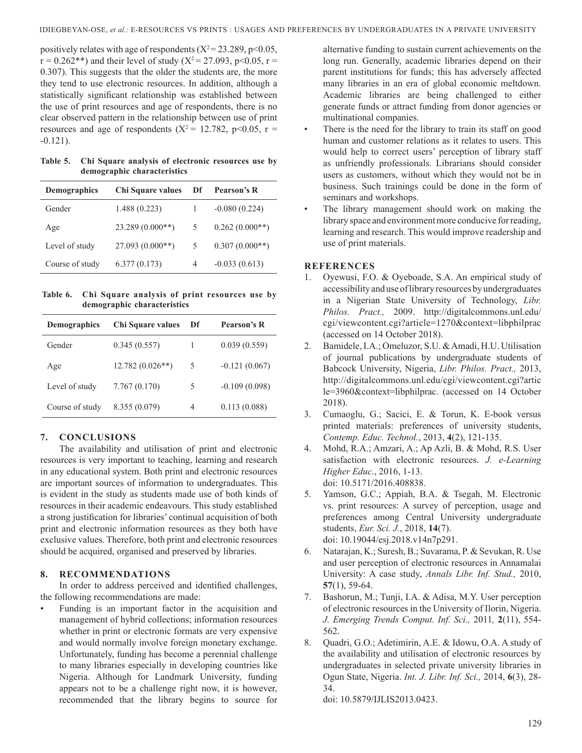positively relates with age of respondents  $(X^2 = 23.289, p<0.05,$  $r = 0.262$ <sup>\*\*</sup>) and their level of study (X<sup>2</sup> = 27.093, p<0.05, r = 0.307). This suggests that the older the students are, the more they tend to use electronic resources. In addition, although a statistically significant relationship was established between the use of print resources and age of respondents, there is no clear observed pattern in the relationship between use of print resources and age of respondents ( $X^2 = 12.782$ ,  $p < 0.05$ ,  $r =$  $-0.121$ ).

**Table 5. Chi Square analysis of electronic resources use by demographic characteristics** 

| <b>Demographics</b> | Chi Square values | Df | Pearson's R      |
|---------------------|-------------------|----|------------------|
| Gender              | 1.488(0.223)      |    | $-0.080(0.224)$  |
| Age                 | $23.289(0.000**)$ | 5  | $0.262(0.000**)$ |
| Level of study      | $27.093(0.000**)$ | 5  | $0.307(0.000**)$ |
| Course of study     | 6.377(0.173)      | 4  | $-0.033(0.613)$  |

**Table 6. Chi Square analysis of print resources use by demographic characteristics**

| Demographics    | Chi Square values | Df | Pearson's R     |
|-----------------|-------------------|----|-----------------|
| Gender          | 0.345(0.557)      | 1  | 0.039(0.559)    |
| Age             | $12.782(0.026**)$ | 5  | $-0.121(0.067)$ |
| Level of study  | 7.767(0.170)      | 5  | $-0.109(0.098)$ |
| Course of study | 8.355 (0.079)     | 4  | 0.113(0.088)    |

## **7. ConclusionS**

The availability and utilisation of print and electronic resources is very important to teaching, learning and research in any educational system. Both print and electronic resources are important sources of information to undergraduates. This is evident in the study as students made use of both kinds of resources in their academic endeavours. This study established a strong justification for libraries' continual acquisition of both print and electronic information resources as they both have exclusive values. Therefore, both print and electronic resources should be acquired, organised and preserved by libraries.

## **8. Recommendations**

In order to address perceived and identified challenges, the following recommendations are made:

• Funding is an important factor in the acquisition and management of hybrid collections; information resources whether in print or electronic formats are very expensive and would normally involve foreign monetary exchange. Unfortunately, funding has become a perennial challenge to many libraries especially in developing countries like Nigeria. Although for Landmark University, funding appears not to be a challenge right now, it is however, recommended that the library begins to source for

alternative funding to sustain current achievements on the long run. Generally, academic libraries depend on their parent institutions for funds; this has adversely affected many libraries in an era of global economic meltdown. Academic libraries are being challenged to either generate funds or attract funding from donor agencies or multinational companies.

- There is the need for the library to train its staff on good human and customer relations as it relates to users. This would help to correct users' perception of library staff as unfriendly professionals. Librarians should consider users as customers, without which they would not be in business. Such trainings could be done in the form of seminars and workshops.
- The library management should work on making the library space and environment more conducive for reading, learning and research. This would improve readership and use of print materials.

## **References**

- 1. Oyewusi, F.O. & Oyeboade, S.A. An empirical study of accessibility and use of library resources by undergraduates in a Nigerian State University of Technology, *Libr. Philos. Pract.,* 2009. http://digitalcommons.unl.edu/ cgi/viewcontent.cgi?article=1270&context=libphilprac (accessed on 14 October 2018).
- 2. Bamidele, I.A.; Omeluzor, S.U. & Amadi, H.U. Utilisation of journal publications by undergraduate students of Babcock University, Nigeria, *Libr. Philos. Pract.,* 2013, http://digitalcommons.unl.edu/cgi/viewcontent.cgi?artic le=3960&context=libphilprac. (accessed on 14 October 2018).
- 3. Cumaoglu, G.; Sacici, E. & Torun, K. E-book versus printed materials: preferences of university students, *Contemp. Educ. Technol.*, 2013, **4**(2), 121-135.
- 4. Mohd, R.A.; Amzari, A.; Ap Azli, B. & Mohd, R.S. User satisfaction with electronic resources. *J. e-Learning Higher Educ.*, 2016, 1-13. doi: 10.5171/2016.408838.
- 5. Yamson, G.C.; Appiah, B.A. & Tsegah, M. Electronic vs. print resources: A survey of perception, usage and preferences among Central University undergraduate students, *Eur. Sci. J.*, 2018, **14**(7). doi: 10.19044/esj.2018.v14n7p291.
- 6. Natarajan, K.; Suresh, B.; Suvarama, P. & Sevukan, R. Use and user perception of electronic resources in Annamalai University: A case study, *Annals Libr. Inf. Stud.,* 2010, **57**(1), 59-64.
- 7. Bashorun, M.; Tunji, I.A. & Adisa, M.Y. User perception of electronic resources in the University of Ilorin, Nigeria. *J. Emerging Trends Comput. Inf. Sci.,* 2011*,* **2**(11), 554- 562.
- 8. Quadri, G.O.; Adetimirin, A.E. & Idowu, O.A. A study of the availability and utilisation of electronic resources by undergraduates in selected private university libraries in Ogun State, Nigeria. *Int. J. Libr. Inf. Sci.,* 2014, **6**(3), 28- 34.

doi: 10.5879/IJLIS2013.0423.